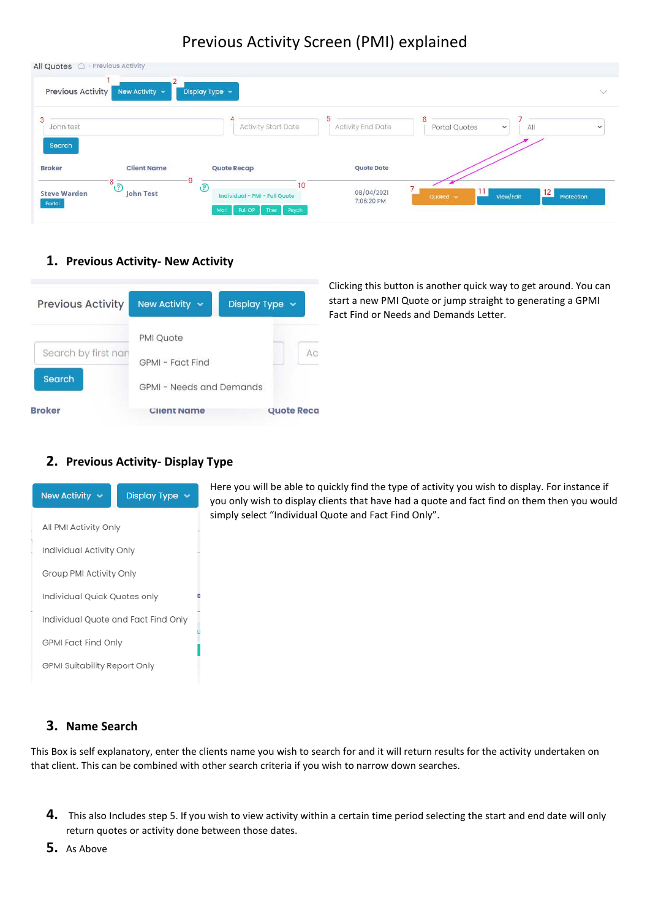# Previous Activity Screen (PMI) explained

| All Quotes <sup>2</sup> Previous Activity |                                     |                                                                                    |                               |                      |                              |              |
|-------------------------------------------|-------------------------------------|------------------------------------------------------------------------------------|-------------------------------|----------------------|------------------------------|--------------|
| <b>Previous Activity</b>                  | New Activity v                      | Display Type $\sim$                                                                |                               |                      |                              | $\vee$       |
| 3<br>John test                            |                                     | <b>Activity Start Date</b>                                                         | C<br><b>Activity End Date</b> | 6<br>Portal Quotes   | All<br>$\checkmark$          | $\checkmark$ |
| Search<br><b>Broker</b>                   | <b>Client Name</b>                  | <b>Quote Recap</b>                                                                 | <b>Quote Date</b>             |                      |                              |              |
| <b>Steve Warden</b><br>Portal             | $\overline{9}$<br>-8 ට<br>John Test | 10<br>$\odot$<br>Individual - PMI - Full Quote<br>Morl<br>Psych<br>Full OP<br>Ther | 08/04/2021<br>7:06:20 PM      | . .<br>Quoted $\sim$ | 12 <sub>1</sub><br>View/Edit | Protection   |

#### **1. Previous Activity- New Activity**



Clicking this button is another quick way to get around. You can start a new PMI Quote or jump straight to generating a GPMI Fact Find or Needs and Demands Letter.

#### **2. Previous Activity- Display Type**



Here you will be able to quickly find the type of activity you wish to display. For instance if you only wish to display clients that have had a quote and fact find on them then you would simply select "Individual Quote and Fact Find Only".

### **3. Name Search**

This Box is self explanatory, enter the clients name you wish to search for and it will return results for the activity undertaken on that client. This can be combined with other search criteria if you wish to narrow down searches.

**4.** This also Includes step 5. If you wish to view activity within a certain time period selecting the start and end date will only return quotes or activity done between those dates.

**5.** As Above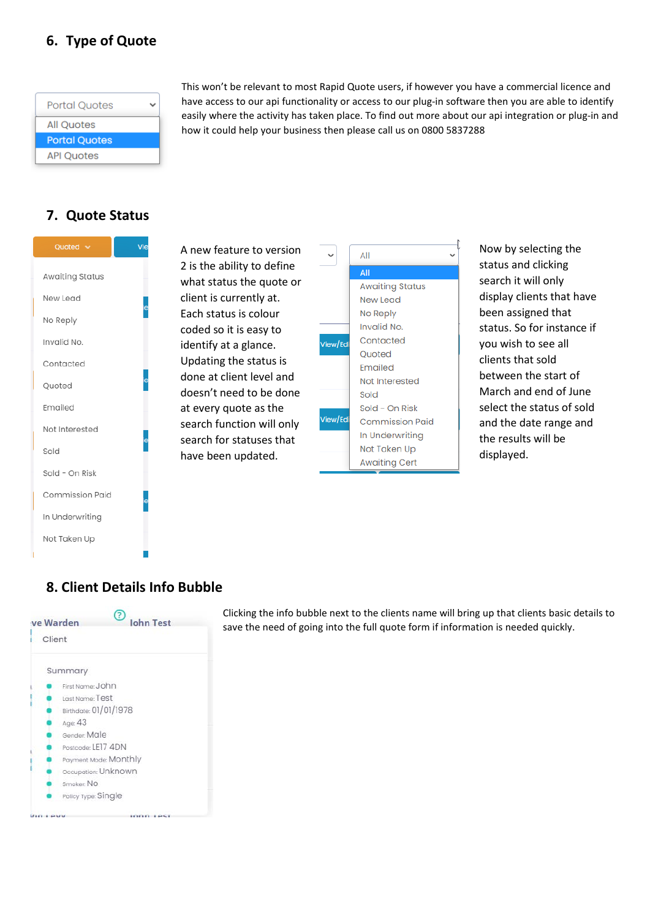## **6. Type of Quote**

| <b>Portal Ouotes</b> |  |
|----------------------|--|
| <b>All Quotes</b>    |  |
| <b>Portal Quotes</b> |  |
| <b>API Quotes</b>    |  |

This won't be relevant to most Rapid Quote users, if however you have a commercial licence and have access to our api functionality or access to our plug-in software then you are able to identify easily where the activity has taken place. To find out more about our api integration or plug-in and how it could help your business then please call us on 0800 5837288

### **7. Quote Status**



A new feature to version 2 is the ability to define what status the quote or client is currently at. Each status is colour coded so it is easy to identify at a glance. Updating the status is done at client level and doesn't need to be done at every quote as the search function will only search for statuses that have been updated.

|        | ΑII                    |
|--------|------------------------|
|        | All                    |
|        | <b>Awaiting Status</b> |
|        | New Lead               |
|        | No Reply               |
|        | Invalid No.            |
| ew/Edi | Contacted              |
|        | Quoted                 |
|        | Emailed                |
|        | Not Interested         |
|        | Sold                   |
|        | Sold - On Risk         |
| ew/Edi | <b>Commission Paid</b> |
|        | In Underwriting        |
|        | Not Taken Up           |
|        | <b>Awaiting Cert</b>   |

Now by selecting the status and clicking search it will only display clients that have been assigned that status. So for instance if you wish to see all clients that sold between the start of March and end of June select the status of sold and the date range and the results will be displayed.

### **8. Client Details Info Bubble**



Clicking the info bubble next to the clients name will bring up that clients basic details to save the need of going into the full quote form if information is needed quickly.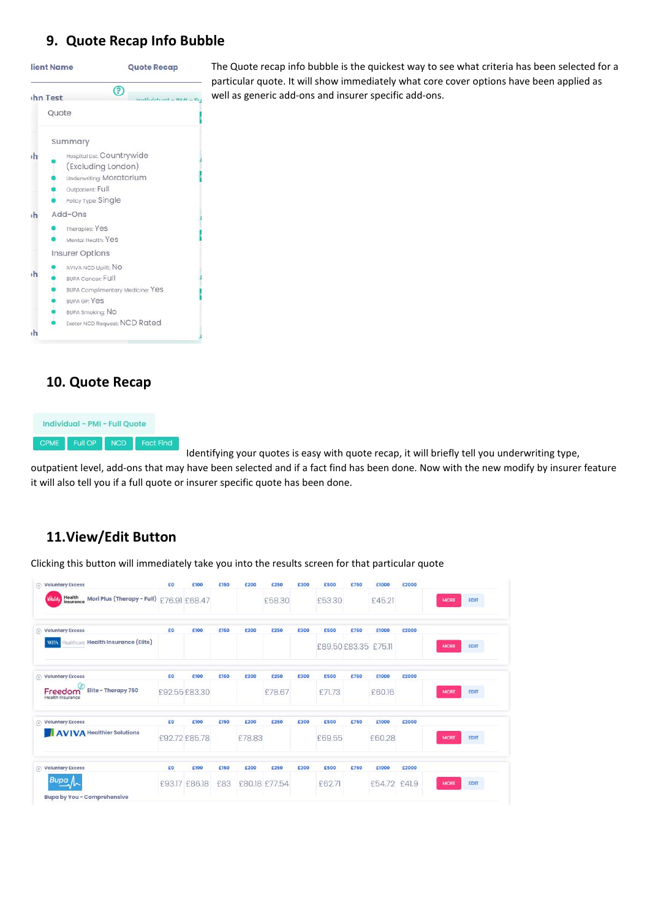### **9. Quote Recap Info Bubble**



#### **10. Quote Recap**



Identifying your quotes is easy with quote recap, it will briefly tell you underwriting type, outpatient level, add-ons that may have been selected and if a fact find has been done. Now with the new modify by insurer feature it will also tell you if a full quote or insurer specific quote has been done.

### **11.View/Edit Button**

Clicking this button will immediately take you into the results screen for that particular quote

| $\otimes$ Voluntary Excess                                      | £0            | £100          | £150 | £200   | £250          | £300 | £500                 | £750 | £1000        | £2000 |             |             |
|-----------------------------------------------------------------|---------------|---------------|------|--------|---------------|------|----------------------|------|--------------|-------|-------------|-------------|
| Health<br>insurance<br>Mori Plus (Therapy - Full) £76.91 £68.47 |               |               |      |        | £58.30        |      | £53.30               |      | £45.21       |       | <b>MORE</b> | <b>EDIT</b> |
| $\otimes$ Voluntary Excess                                      | £0            | £100          | £150 | £200   | £250          | £300 | £500                 | £750 | £1000        | £2000 |             |             |
| Healthcare Hegith Insurgnce (Elite)<br><b>WPA</b>               |               |               |      |        |               |      | £89.50 £83.35 £75.11 |      |              |       | <b>MORE</b> | <b>EDIT</b> |
| $\otimes$ Voluntary Excess                                      | £0            | £100          | £150 | £200   | £250          | £300 | £500                 | £750 | £1000        | £2000 |             |             |
| Elite - Therapy 750<br>Freedom<br>Health Insurance              | £92.55 £83.30 |               |      |        | £78.67        |      | £71.73               |      | £60.16       |       | <b>MORE</b> | EDIT        |
| $\otimes$ Voluntary Excess                                      | £0            | £100          | £150 | £200   | £250          | £300 | £500                 | £750 | £1000        | £2000 |             |             |
| <b>AVIVA Healthier Solutions</b>                                | £92.72 £85.78 |               |      | £78.83 |               |      | £69.55               |      | £60.28       |       | <b>MORE</b> | <b>EDIT</b> |
| $\circledR$ Voluntary Excess                                    | £0            | £100          | £150 | £200   | £250          | £300 | £500                 | £750 | £1000        | £2000 |             |             |
| Bupa                                                            |               | £93.17 £86.18 | £83  |        | £80.18 £77.54 |      | £62.71               |      | £54.72 £41.9 |       | <b>MORE</b> | EDIT        |
| <b>Bupa by You - Comprehensive</b>                              |               |               |      |        |               |      |                      |      |              |       |             |             |

The Quote recap info bubble is the quickest way to see what criteria has been selected for a particular quote. It will show immediately what core cover options have been applied as well as generic add-ons and insurer specific add-ons.